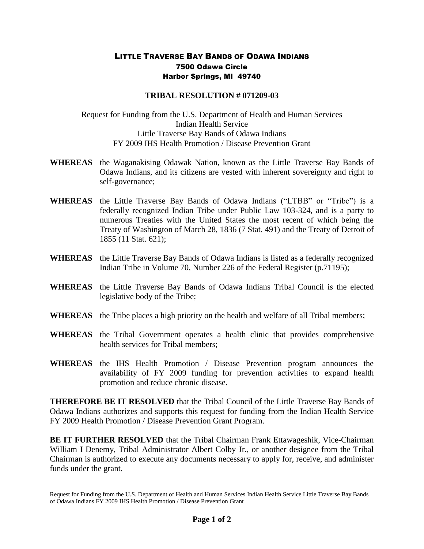## LITTLE TRAVERSE BAY BANDS OF ODAWA INDIANS 7500 Odawa Circle Harbor Springs, MI 49740

## **TRIBAL RESOLUTION # 071209-03**

Request for Funding from the U.S. Department of Health and Human Services Indian Health Service Little Traverse Bay Bands of Odawa Indians FY 2009 IHS Health Promotion / Disease Prevention Grant

- **WHEREAS** the Waganakising Odawak Nation, known as the Little Traverse Bay Bands of Odawa Indians, and its citizens are vested with inherent sovereignty and right to self-governance;
- **WHEREAS** the Little Traverse Bay Bands of Odawa Indians ("LTBB" or "Tribe") is a federally recognized Indian Tribe under Public Law 103-324, and is a party to numerous Treaties with the United States the most recent of which being the Treaty of Washington of March 28, 1836 (7 Stat. 491) and the Treaty of Detroit of 1855 (11 Stat. 621);
- **WHEREAS** the Little Traverse Bay Bands of Odawa Indians is listed as a federally recognized Indian Tribe in Volume 70, Number 226 of the Federal Register (p.71195);
- **WHEREAS** the Little Traverse Bay Bands of Odawa Indians Tribal Council is the elected legislative body of the Tribe;
- **WHEREAS** the Tribe places a high priority on the health and welfare of all Tribal members;
- **WHEREAS** the Tribal Government operates a health clinic that provides comprehensive health services for Tribal members;
- **WHEREAS** the IHS Health Promotion / Disease Prevention program announces the availability of FY 2009 funding for prevention activities to expand health promotion and reduce chronic disease.

**THEREFORE BE IT RESOLVED** that the Tribal Council of the Little Traverse Bay Bands of Odawa Indians authorizes and supports this request for funding from the Indian Health Service FY 2009 Health Promotion / Disease Prevention Grant Program.

**BE IT FURTHER RESOLVED** that the Tribal Chairman Frank Ettawageshik, Vice-Chairman William I Denemy, Tribal Administrator Albert Colby Jr., or another designee from the Tribal Chairman is authorized to execute any documents necessary to apply for, receive, and administer funds under the grant.

Request for Funding from the U.S. Department of Health and Human Services Indian Health Service Little Traverse Bay Bands of Odawa Indians FY 2009 IHS Health Promotion / Disease Prevention Grant